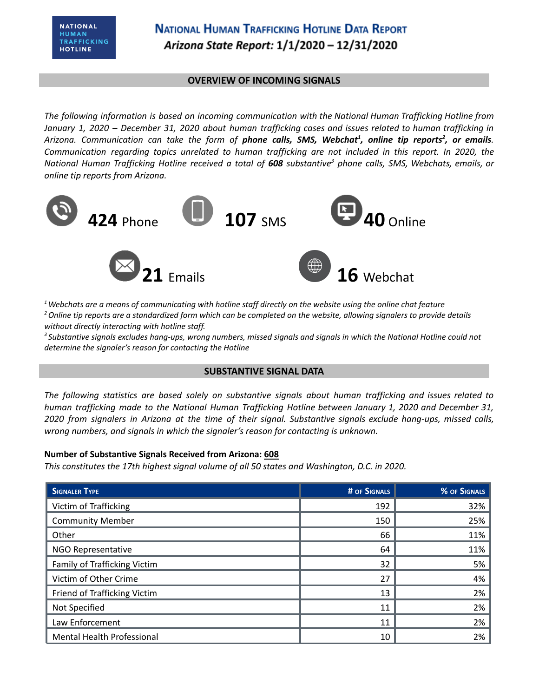### **OVERVIEW OF INCOMING SIGNALS**

*The following information is based on incoming communication with the National Human Trafficking Hotline from* January 1, 2020 - December 31, 2020 about human trafficking cases and issues related to human trafficking in Arizona. Communication can take the form of **phone calls, SMS, Webchat<sup>1</sup>, online tip reports<sup>2</sup>, or emails.** *Communication regarding topics unrelated to human trafficking are not included in this report. In 2020, the* National Human Trafficking Hotline received a total of 608 substantive<sup>3</sup> phone calls, SMS, Webchats, emails, or *online tip reports from Arizona.*



 $1$  Webchats are a means of communicating with hotline staff directly on the website using the online chat feature <sup>2</sup> Online tip reports are a standardized form which can be completed on the website, allowing signalers to provide details *without directly interacting with hotline staff.*

<sup>3</sup> Substantive signals excludes hang-ups, wrong numbers, missed signals and signals in which the National Hotline could not *determine the signaler's reason for contacting the Hotline*

### **SUBSTANTIVE SIGNAL DATA**

*The following statistics are based solely on substantive signals about human trafficking and issues related to human trafficking made to the National Human Trafficking Hotline between January 1, 2020 and December 31,* 2020 from signalers in Arizona at the time of their signal. Substantive signals exclude hang-ups, missed calls, *wrong numbers, and signals in which the signaler's reason for contacting is unknown.*

### **Number of Substantive Signals Received from Arizona: 608**

*This constitutes the 17th highest signal volume of all 50 states and Washington, D.C. in 2020.*

| <b>SIGNALER TYPE</b>              | # OF SIGNALS | % OF SIGNALS |
|-----------------------------------|--------------|--------------|
| Victim of Trafficking             | 192          | 32%          |
| <b>Community Member</b>           | 150          | 25%          |
| Other                             | 66           | 11%          |
| <b>NGO Representative</b>         | 64           | 11%          |
| Family of Trafficking Victim      | 32           | 5%           |
| Victim of Other Crime             | 27           | 4%           |
| Friend of Trafficking Victim      | 13           | 2%           |
| Not Specified                     | 11           | 2%           |
| Law Enforcement                   | 11           | 2%           |
| <b>Mental Health Professional</b> | 10           | 2%           |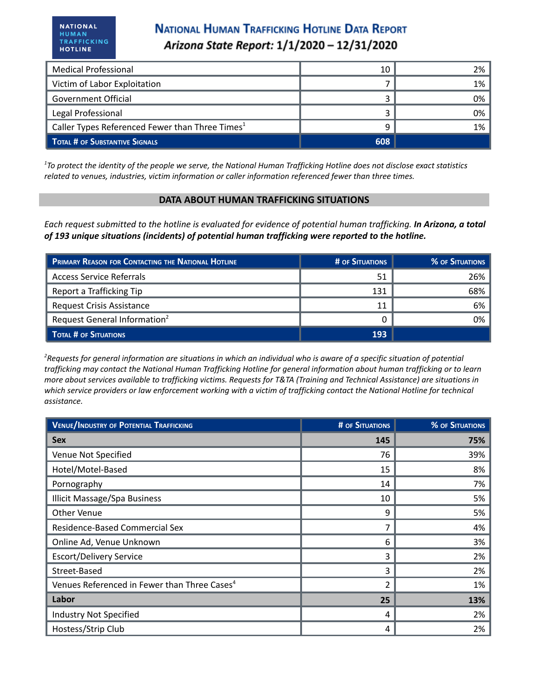# **NATIONAL HUMAN TRAFFICKING HOTLINE DATA REPORT** Arizona State Report: 1/1/2020 - 12/31/2020

| <b>Medical Professional</b>                                 | 10  | 2% |
|-------------------------------------------------------------|-----|----|
| Victim of Labor Exploitation                                |     | 1% |
| <b>Government Official</b>                                  |     | 0% |
| Legal Professional                                          |     | 0% |
| Caller Types Referenced Fewer than Three Times <sup>1</sup> | 9   | 1% |
| <b>TOTAL # OF SUBSTANTIVE SIGNALS</b>                       | 608 |    |

<sup>1</sup>To protect the identity of the people we serve, the National Human Trafficking Hotline does not disclose exact statistics *related to venues, industries, victim information or caller information referenced fewer than three times.*

### **DATA ABOUT HUMAN TRAFFICKING SITUATIONS**

Each request submitted to the hotline is evaluated for evidence of potential human trafficking. In Arizona, a total *of 193 unique situations (incidents) of potential human trafficking were reported to the hotline.*

| <b>PRIMARY REASON FOR CONTACTING THE NATIONAL HOTLINE</b> | # OF SITUATIONS | <b>% OF SITUATIONS</b> |
|-----------------------------------------------------------|-----------------|------------------------|
| Access Service Referrals                                  | 51              | 26%                    |
| Report a Trafficking Tip                                  | 131             | 68%                    |
| <b>Request Crisis Assistance</b>                          | 11              | 6%                     |
| Request General Information <sup>2</sup>                  |                 | 0%                     |
| TOTAL # OF SITUATIONS                                     | 193             |                        |

<sup>2</sup>Requests for general information are situations in which an individual who is aware of a specific situation of potential trafficking may contact the National Human Trafficking Hotline for general information about human trafficking or to learn more about services available to trafficking victims. Requests for T&TA (Training and Technical Assistance) are situations in which service providers or law enforcement working with a victim of trafficking contact the National Hotline for technical *assistance.*

| <b>VENUE/INDUSTRY OF POTENTIAL TRAFFICKING</b>           | <b># OF SITUATIONS</b> | <b>% OF SITUATIONS</b> |
|----------------------------------------------------------|------------------------|------------------------|
| <b>Sex</b>                                               | 145                    | 75%                    |
| Venue Not Specified                                      | 76                     | 39%                    |
| Hotel/Motel-Based                                        | 15                     | 8%                     |
| Pornography                                              | 14                     | 7%                     |
| <b>Illicit Massage/Spa Business</b>                      | 10                     | 5%                     |
| Other Venue                                              | 9                      | 5%                     |
| Residence-Based Commercial Sex                           |                        | 4%                     |
| Online Ad, Venue Unknown                                 | 6                      | 3%                     |
| <b>Escort/Delivery Service</b>                           | 3                      | 2%                     |
| Street-Based                                             | 3                      | 2%                     |
| Venues Referenced in Fewer than Three Cases <sup>4</sup> | $\overline{2}$         | 1%                     |
| Labor                                                    | 25                     | 13%                    |
| <b>Industry Not Specified</b>                            | 4                      | 2%                     |
| Hostess/Strip Club                                       | 4                      | 2%                     |